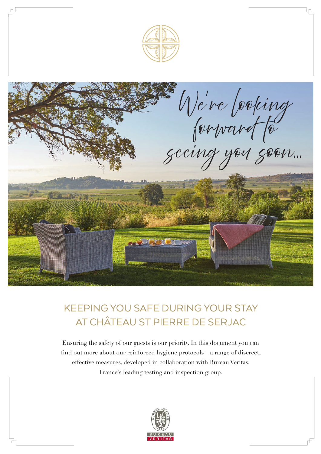

## KEEPING YOU SAFE DURING YOUR STAY AT CHÂTEAU ST PIERRE DE SERJAC

Ensuring the safety of our guests is our priority. In this document you can find out more about our reinforced hygiene protocols – a range of discreet, effective measures, developed in collaboration with Bureau Veritas, France's leading testing and inspection group.

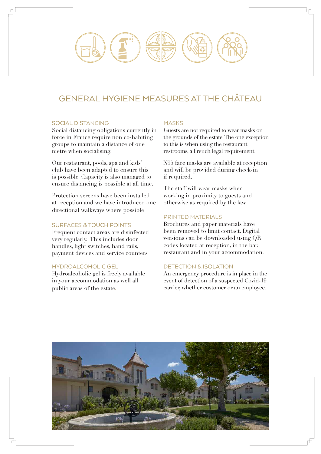# GENERAL HYGIENE MEASURES AT THE CHÂTEAU

### SOCIAL DISTANCING

 $\Box$ 

Social distancing obligations currently in force in France require non co-habiting groups to maintain a distance of one metre when socialising.

Our restaurant, pools, spa and kids' club have been adapted to ensure this is possible. Capacity is also managed to ensure distancing is possible at all time.

Protection screens have been installed at reception and we have introduced one directional walkways where possible

### SURFACES & TOUCH POINTS

Frequent contact areas are disinfected very regularly. This includes door handles, light switches, hand rails, payment devices and service counters

### HYDROALCOHOLIC GEL

Hydroalcoholic gel is freely available in your accommodation as well all public areas of the estate.

### **MASKS**

Guests are not required to wear masks on the grounds of the estate. The one exception to this is when using the restaurant restrooms, a French legal requirement.

N95 face masks are available at reception and will be provided during check-in if required.

The staff will wear masks when working in proximity to guests and otherwise as required by the law.

### PRINTED MATERIALS

Brochures and paper materials have been removed to limit contact. Digital versions can be downloaded using QR codes located at reception, in the bar, restaurant and in your accommodation.

### DETECTION & ISOLATION

An emergency procedure is in place in the event of detection of a suspected Covid-19 carrier, whether customer or an employee.

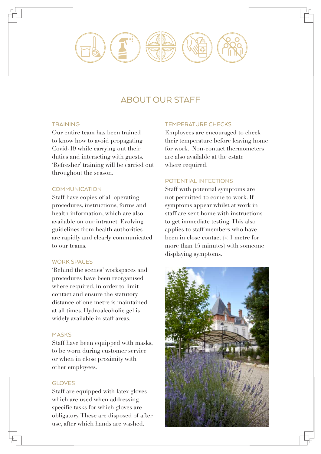### ABOUT OUR STAFF

### **TRAINING**

Our entire team has been trained to know how to avoid propagating Covid-19 while carrying out their duties and interacting with guests. 'Refresher' training will be carried out throughout the season.

### **COMMUNICATION**

Staff have copies of all operating procedures, instructions, forms and health information, which are also available on our intranet. Evolving guidelines from health authorities are rapidly and clearly communicated to our teams.

### WORK SPACES

'Behind the scenes' workspaces and procedures have been reorganised where required, in order to limit contact and ensure the statutory distance of one metre is maintained at all times. Hydroalcoholic gel is widely available in staff areas.

### **MASKS**

Staff have been equipped with masks, to be worn during customer service or when in close proximity with other employees.

### GLOVES

Staff are equipped with latex gloves which are used when addressing specific tasks for which gloves are obligatory. These are disposed of after use, after which hands are washed.

### TEMPERATURE CHECKS

Employees are encouraged to check their temperature before leaving home for work. Non-contact thermometers are also available at the estate where required.

### POTENTIAL INFECTIONS

Staff with potential symptoms are not permitted to come to work. If symptoms appear whilst at work in staff are sent home with instructions to get immediate testing. This also applies to staff members who have been in close contact (< 1 metre for more than 15 minutes) with someone displaying symptoms.

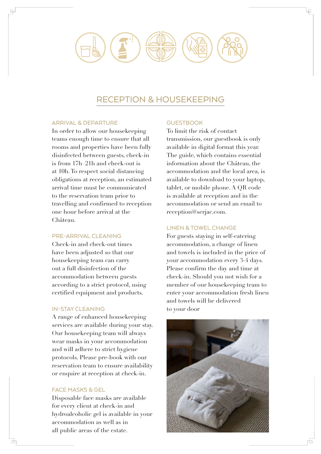### RECEPTION & HOUSEKEEPING

### ARRIVAL & DEPARTURE

 $\Box$ 

In order to allow our housekeeping teams enough time to ensure that all rooms and properties have been fully disinfected between guests, check-in is from 17h–21h and check-out is at 10h. To respect social distancing obligations at reception, an estimated arrival time must be communicated to the reservation team prior to travelling and confirmed to reception one hour before arrival at the Château.

### PRE-ARRIVAL CLEANING

Check-in and check-out times have been adjusted so that our housekeeping team can carry out a full disinfection of the accommodation between guests according to a strict protocol, using certified equipment and products.

### IN-STAY CLEANING

A range of enhanced housekeeping services are available during your stay. Our housekeeping team will always wear masks in your accommodation and will adhere to strict hygiene protocols. Please pre-book with our reservation team to ensure availability or enquire at reception at check-in.

### FACE MASKS & GEL

Disposable face masks are available for every client at check-in and hydroalcoholic gel is available in your accommodation as well as in all public areas of the estate.

### **GUESTBOOK**

To limit the risk of contact transmission, our guestbook is only available in digital format this year. The guide, which contains essential information about the Château, the accommodation and the local area, is available to download to your laptop, tablet, or mobile phone. A QR code is available at reception and in the accommodation or send an email to reception@serjac.com.

#### LINEN & TOWEL CHANGE

For guests staying in self-catering accommodation, a change of linen and towels is included in the price of your accommodation every 3-4 days. Please confirm the day and time at check-in. Should you not wish for a member of our housekeeping team to enter your accommodation fresh linen and towels will be delivered to your door

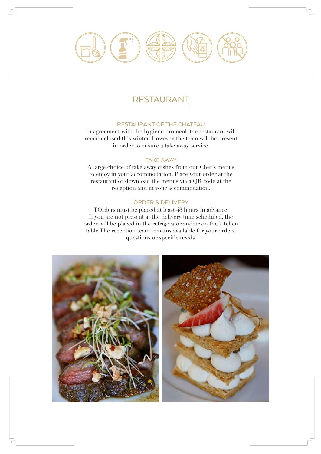### RESTAURANT

 $\Box$ 

₫

### RESTAURANT OF THE CHATEAU

In agreement with the hygiene protocol, the restaurant will remain closed this winter. However, the team will be present in order to ensure a take away service.

### TAKE AWAY

A large choice of take away dishes from our Chef's menus to enjoy in your accommodation. Place your order at the restaurant or download the menus via a QR code at the reception and in your accommodation.

#### ORDER & DELIVERY

TOrders must be placed at least 48 hours in advance. If you are not present at the delivery time scheduled, the order will be placed in the refrigerator and/or on the kitchen table.The reception team remains available for your orders, questions or specific needs.



L۵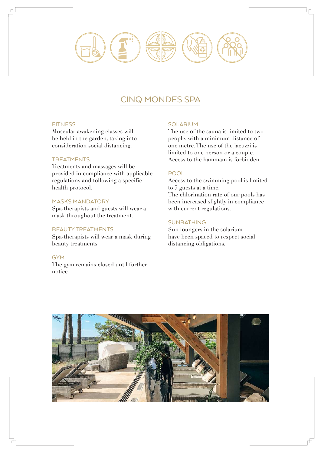### CINQ MONDES SPA

### **FITNESS**

 $\Box$ 

Muscular awakening classes will be held in the garden, taking into consideration social distancing.

### **TREATMENTS**

Treatments and massages will be provided in compliance with applicable regulations and following a specific health protocol.

### MASKS MANDATORY

Spa-therapists and guests will wear a mask throughout the treatment.

### BEAUTY TREATMENTS

Spa-therapists will wear a mask during beauty treatments.

### **GYM**

Н

The gym remains closed until further notice.

#### SOLARIUM

The use of the sauna is limited to two people, with a minimum distance of one metre. The use of the jacuzzi is limited to one person or a couple. Access to the hammam is forbidden

### POOL

Access to the swimming pool is limited to 7 guests at a time. The chlorination rate of our pools has been increased slightly in compliance with current regulations.

### **SUNBATHING**

Sun loungers in the solarium have been spaced to respect social distancing obligations.